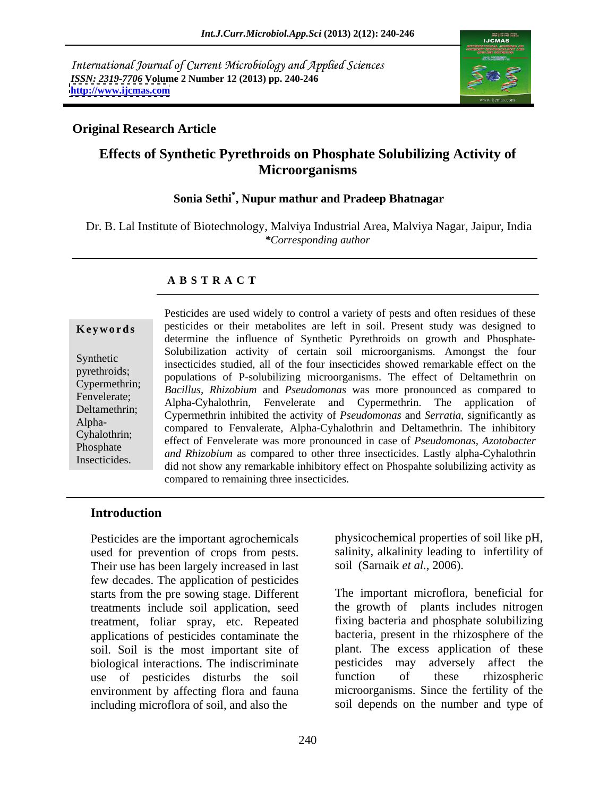International Journal of Current Microbiology and Applied Sciences *ISSN: 2319-7706* **Volume 2 Number 12 (2013) pp. 240-246 <http://www.ijcmas.com>**



### **Original Research Article**

# **Effects of Synthetic Pyrethroids on Phosphate Solubilizing Activity of Microorganisms**

## **Sonia Sethi\* , Nupur mathur and Pradeep Bhatnagar**

Dr. B. Lal Institute of Biotechnology, Malviya Industrial Area, Malviya Nagar, Jaipur, India *\*Corresponding author* 

### **A B S T R A C T**

**Keywords** pesticides or their metabolites are left in soil. Present study was designed to Synthetic<br>
insecticides studied, all of the four insecticides showed remarkable effect on the pyrethroids;<br>
populations of P-solubilizing microorganisms. The effect of Deltamethrin on Cypermethrin; *Bacillus, Rhizobium* and *Pseudomonas* was more pronounced as compared to Fenvelerate; Buchas, Mazolian and Escadonomis was more pronounced as compared to<br>Deltamathrin, Alpha-Cyhalothrin, Fenvelerate and Cypermethrin. The application of Deltamethrin; Cypermethrin inhibited the activity of *Pseudomonas* and *Serratia*, significantly as Alpha-<br>
compared to Fenvalerate, Alpha-Cyhalothrin and Deltamethrin. The inhibitory Cyhalothrin; effect of Fenvelerate was more pronounced in case of *Pseudomonas, Azotobacter* Phosphate<br> *and Rhizobium* as compared to other three insecticides. Lastly alpha-Cyhalothrin Insecticides.<br>did not show any remarkable inhibitory effect on Phospahte solubilizing activity as Pesticides are used widely to control a variety of pests and often residues of these determine the influence of Synthetic Pyrethroids on growth and Phosphate- Solubilization activity of certain soil microorganisms. Amongst the four compared to remaining three insecticides.

### **Introduction**

Pesticides are the important agrochemicals used for prevention of crops from pests. Their use has been largely increased in last few decades. The application of pesticides starts from the pre sowing stage. Different treatments include soil application, seed treatment, foliar spray, etc. Repeated applications of pesticides contaminate the soil. Soil is the most important site of biological interactions. The indiscriminate pesticides may adversely affect the use of pesticides disturbs the soil function of these rhizospheric use of pesticides disturbs the soil environment by affecting flora and fauna including microflora of soil, and also the

physicochemical properties of soil like pH, salinity, alkalinity leading to infertility of soil (Sarnaik *et al.,* 2006).

The important microflora, beneficial for the growth of plants includes nitrogen fixing bacteria and phosphate solubilizing bacteria, present in the rhizosphere of the plant. The excess application of these pesticides may adversely affect the function of these rhizospheric microorganisms. Since the fertility of the soil depends on the number and type of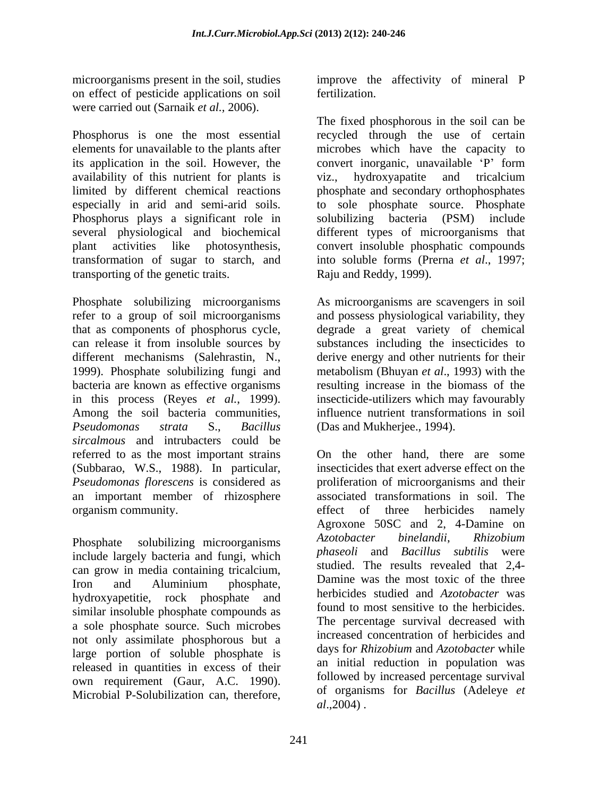on effect of pesticide applications on soil were carried out (Sarnaik *et al.,* 2006).

Phosphorus is one the most essential recycled through the use of certain elements for unavailable to the plants after microbes which have the capacity to its application in the soil. However, the convert inorganic, unavailable 'P' form availability of this nutrient for plants is viz., hydroxyapatite and tricalcium limited by different chemical reactions phosphate and secondary orthophosphates especially in arid and semi-arid soils. to sole phosphate source. Phosphate Phosphorus plays a significant role in solubilizing bacteria (PSM) include several physiological and biochemical different types of microorganisms that plant activities like photosynthesis, convert insoluble phosphatic compounds transformation of sugar to starch, and into soluble forms (Prerna *et al*., 1997;

refer to a group of soil microorganisms and possess physiological variability, they that as components of phosphorus cycle, degrade a great variety of chemical can release it from insoluble sources by substances including the insecticides to different mechanisms (Salehrastin, N., derive energy and other nutrients for their 1999). Phosphate solubilizing fungi and metabolism (Bhuyan *et al*., 1993) with the bacteria are known as effective organisms in this process (Reyes *et al.*, 1999). insecticide-utilizers which may favourably Among the soil bacteria communities, influence nutrient transformations in soil *Pseudomonas strata* S., *Bacillus*  (Das and Mukherjee., 1994). *sircalmous* and intrubacters could be referred to as the most important strains (Subbarao, W.S., 1988). In particular, *Pseudomonas florescens* is considered as proliferation of microorganisms and their an important member of rhizosphere associated transformations in soil. The organism community. The effect of three herbicides namely

include largely bacteria and fungi, which can grow in media containing tricalcium, Iron and Aluminium phosphate, Damine was the most toxic of the three hydroxyapetitie, rock phosphate and similar insoluble phosphate compounds as a sole phosphate source. Such microbes not only assimilate phosphorous but a large portion of soluble phosphate is released in quantities in excess of their own requirement (Gaur, A.C. 1990). Microbial P-Solubilization can, therefore,

microorganisms present in the soil, studies improve the affectivity of mineral P fertilization.

> The fixed phosphorous in the soil can be convert inorganic, unavailable 'P' form viz., hydroxyapatite and tricalcium solubilizing bacteria (PSM) include Raju and Reddy, 1999).

transporting of the genetic traits.<br>
Phosphate solubilizing microorganisms As microorganisms are scavengers in soil As microorganisms are scavengers in soil resulting increase in the biomass of the insecticide-utilizers which may favourably influence nutrient transformations in soil

Phosphate solubilizing microorganisms Azotobacter binelandii, Rhizobium On the other hand, there are some insecticides that exert adverse effect on the effect of three herbicides namely Agroxone 50SC and 2, 4-Damine on *Azotobacter binelandii*, *Rhizobium phaseoli* and *Bacillus subtilis* were studied. The results revealed that 2,4- Damine was the most toxic of the three herbicides studied and *Azotobacter* was found to most sensitive to the herbicides. The percentage survival decreased with increased concentration of herbicides and days fo*r Rhizobium* and *Azotobacter* while an initial reduction in population was followed by increased percentage survival of organisms for *Bacillus* (Adeleye *et al*.,2004) .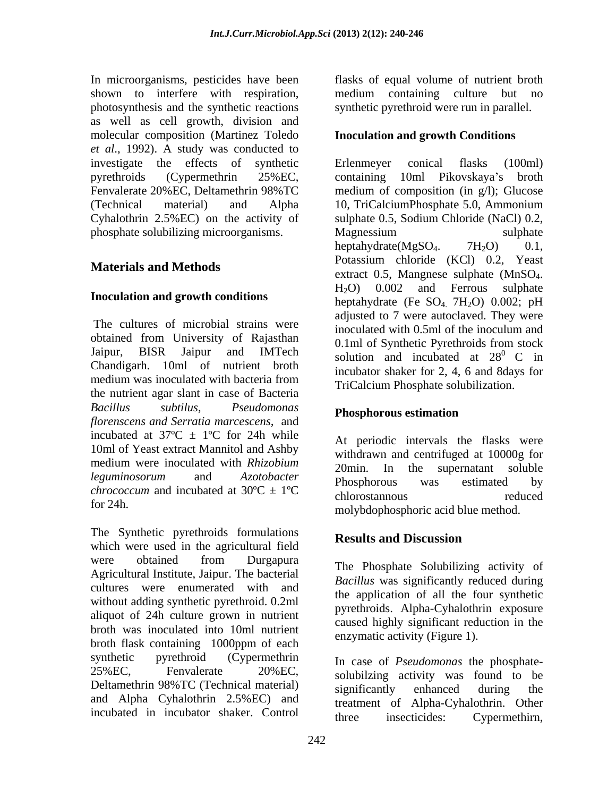In microorganisms, pesticides have been shown to interfere with respiration, medium containing culture but no photosynthesis and the synthetic reactions synthetic pyrethroid were run in parallel. as well as cell growth, division and molecular composition (Martinez Toledo et *al.*, 1992). A study was conducted to investigate the effects of synthetic phosphate solubilizing microorganisms. Magnessium sulphate sulphate

The cultures of microbial strains were obtained from University of Rajasthan Jaipur, BISR Jaipur and IMTech solution and incubated at  $28^\circ$  C in Chandigarh. 10ml of nutrient broth medium was inoculated with bacteria from  $\frac{1}{\text{Tr}(\text{alcium Phosphate solubilization})}$ the nutrient agar slant in case of Bacteria *Bacillus subtilus, Pseudomonas florenscens and Serratia marcescens,* and incubated at  $37^{\circ}\text{C} \pm 1^{\circ}\text{C}$  for 24h while 10ml of Yeast extract Mannitol and Ashby *chrococcum* and *Azolopacier* Phosphorous was estimated by chrococcum and incubated at  $30^{\circ}C \pm 1^{\circ}C$  chlorostannous reduced

The Synthetic pyrethroids formulations<br>Results and Discussion which were used in the agricultural field were obtained from Durgapura The Phoenhete Solubilizing estivity of Agricultural Institute, Jaipur. The bacterial cultures were enumerated with and without adding synthetic pyrethroid. 0.2ml aliquot of 24h culture grown in nutrient broth was inoculated into 10ml nutrient broth flask containing 1000ppm of each synthetic pyrethroid (Cypermethrin In case of *Pseudomonas* the phosphate-Deltamethrin 98%TC (Technical material) significantly enhanced during the and Alpha Cyhalothrin 2.5%EC) and

flasks of equal volume of nutrient broth

## **Inoculation and growth Conditions**

pyrethroids (Cypermethrin 25%EC, Fenvalerate 20%EC, Deltamethrin 98%TC medium of composition (in g/l); Glucose (Technical material) and Alpha 10, TriCalciumPhosphate 5.0, Ammonium Cyhalothrin 2.5%EC) on the activity of sulphate 0.5, Sodium Chloride (NaCl) 0.2, **Materials and Methods**<br>extract 0.5, Mangnese sulphate (MnSO<sub>4</sub>, **Inoculation and growth conditions**  $H_2O$  and  $H_2O$  and  $H_2O$  and  $H_2O$  and  $H_2O$  and  $H_2O$  and  $H_2O$  and  $H_2O$  and  $H_2O$  and  $H_2O$  and  $H_2O$  and  $H_2O$  and  $H_2O$  and  $H_2O$  and  $H_2O$  and  $H_2O$  and  $H_2O$  and Erlenmeyer conical flasks (100ml) containing 10ml Pikovskaya's broth Magnessium sulphate heptahydrate( $MgSO<sub>4</sub>$ . 7H<sub>2</sub>O) 0.1, Potassium chloride (KCl) 0.2, Yeast extract 0.5, Mangnese sulphate (MnSO<sub>4</sub>.<br>H<sub>2</sub>O) 0.002 and Ferrous sulphate heptahydrate (Fe  $SO_4$  7H<sub>2</sub>O) 0.002; pH adjusted to 7 were autoclaved. They were inoculated with 0.5ml of the inoculum and 0.1ml of Synthetic Pyrethroids from stock solution and incubated at  $28^\circ$  C in  $\rm^0$  C in incubator shaker for 2, 4, 6 and 8days for TriCalcium Phosphate solubilization.

# **Phosphorous estimation**

medium were inoculated with *Rhizobium*  $\frac{1}{20}$  and  $\frac{1}{20}$  the superpatant soluble *leguminosorum* and *Azotobacter*  for 24h. molybdophosphoric acid blue method. At periodic intervals the flasks were withdrawn and centrifuged at 10000g for 20min. In the supernatant soluble Phosphorous was estimated by chlorostannous reduced

# **Results and Discussion**

The Phosphate Solubilizing activity of *Bacillus* was significantly reduced during the application of all the four synthetic pyrethroids. Alpha-Cyhalothrin exposure caused highly significant reduction in the enzymatic activity (Figure 1).

 $25\%$  EC, Fenvalerate  $20\%$  EC, solubilizing activity was found to be incubated in incubator shaker. Control three insecticides: Cypermethirn, significantly enhanced during the treatment of Alpha-Cyhalothrin. Other three insecticides: Cypermethirn,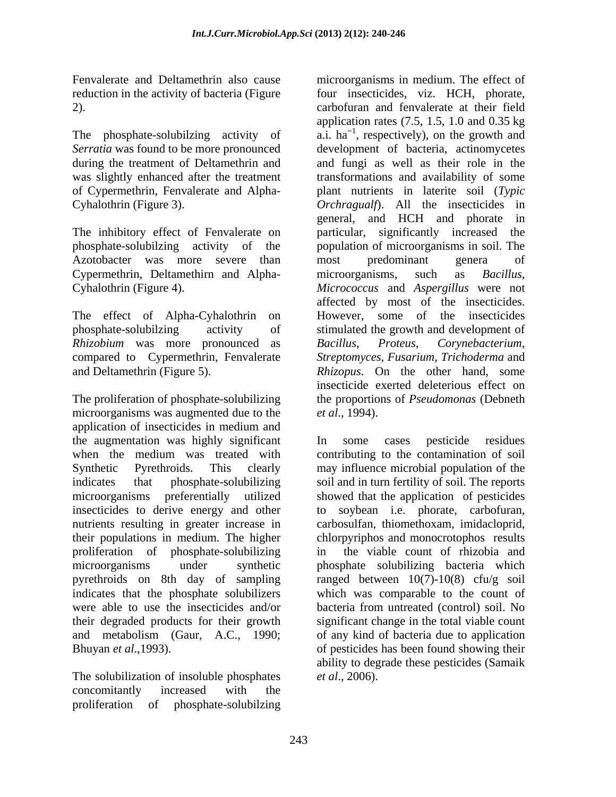Azotobacter was more severe than most predominant genera of Cypermethrin, Deltamethirn and Alpha- microorganisms, such as *Bacillus*,

*Rhizobium* was more pronounced as *Bacillus*, *Proteus*,

The proliferation of phosphate-solubilizing the proportions of *Pseudomonas* (Debneth microorganisms was augmented due to the *et al.*, 1994). application of insecticides in medium and the augmentation was highly significant<br>when the medium was treated with contributing to the contamination of soil when the medium was treated with contributing to the contamination of soil Synthetic Pyrethroids. This clearly may influence microbial population of the indicates that phosphate-solubilizing soil and in turn fertility of soil. The reports microorganisms preferentially utilized showed that the application of pesticides insecticides to derive energy and other nutrients resulting in greater increase in carbosulfan, thiomethoxam, imidacloprid, their populations in medium. The higher proliferation of phosphate-solubilizing in the viable count of rhizobia and microorganisms under synthetic phosphate solubilizing bacteria which pyrethroids on 8th day of sampling ranged between 10(7)-10(8) cfu/g soil indicates that the phosphate solubilizers which was comparable to the count of were able to use the insecticides and/or bacteria from untreated (control) soil. No their degraded products for their growth and metabolism (Gaur, A.C., 1990; of any kind of bacteria due to application Bhuyan *et al*.,1993). of pesticides has been found showing their

The solubilization of insoluble phosphates concomitantly increased with the proliferation of phosphate-solubilzing

Fenvalerate and Deltamethrin also cause microorganisms in medium. The effect of reduction in the activity of bacteria (Figure four insecticides, viz. HCH, phorate, 2). carbofuran and fenvalerate at their field The phosphate-solubilzing activity of  $\hat{a}$ .  $\hat{a}$ . ha<sup>-1</sup>, respectively), on the growth and *Serratia* was found to be more pronounced development of bacteria, actinomycetes during the treatment of Deltamethrin and and fungi as well as their role in the was slightly enhanced after the treatment transformations and availability of some of Cypermethrin, Fenvalerate and Alpha- plant nutrients in laterite soil (*Typic*  Cyhalothrin (Figure 3). *Orchragualf*). All the insecticides in The inhibitory effect of Fenvalerate on particular, significantly increased the phosphate-solubilzing activity of the population of microorganisms in soil. The Cyhalothrin (Figure 4). *Micrococcus* and *Aspergillus* were not The effect of Alpha-Cyhalothrin on However, some of the insecticides phosphate-solubilzing activity of stimulated the growth and development of compared to Cypermethrin, Fenvalerate *Streptomyces*, *Fusarium*, *Trichoderma* and and Deltamethrin (Figure 5). *Rhizopus*. On the other hand, some application rates  $(7.5, 1.5, 1.0, \text{and } 0.35 \text{ kg})$ general, and HCH and phorate in most predominant genera of microorganisms, such as *Bacillus*, affected by most of the insecticides.  $Corynebacterium$ , insecticide exerted deleterious effect on *et al*., 1994).

> In some cases pesticide residues to soybean i.e. phorate, carbofuran, chlorpyriphos and monocrotophos results significant change in the total viable count ability to degrade these pesticides (Samaik *et al*., 2006).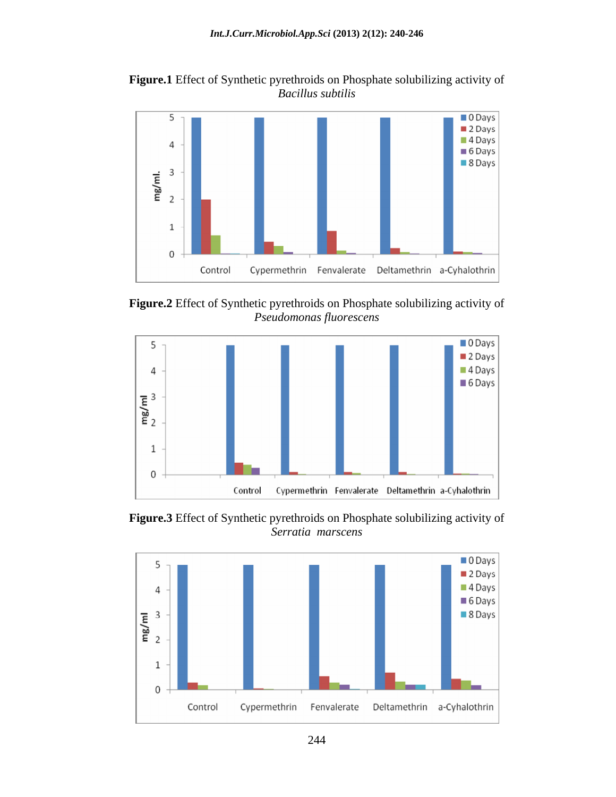**Figure.1** Effect of Synthetic pyrethroids on Phosphate solubilizing activity of *Bacillus subtilis*



**Figure.2** Effect of Synthetic pyrethroids on Phosphate solubilizing activity of *Pseudomonas fluorescens*



**Figure.3** Effect of Synthetic pyrethroids on Phosphate solubilizing activity of *Serratia marscens*

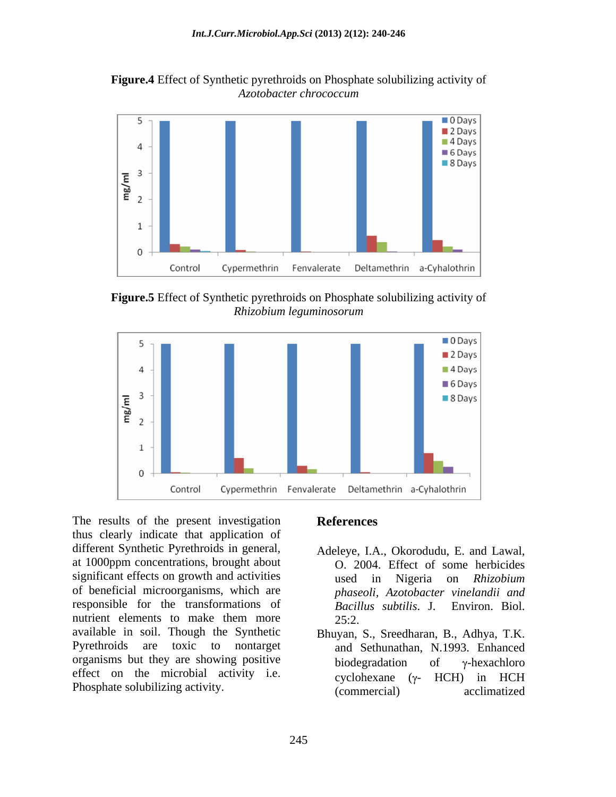**Figure.4** Effect of Synthetic pyrethroids on Phosphate solubilizing activity of *Azotobacter chrococcum*



**Figure.5** Effect of Synthetic pyrethroids on Phosphate solubilizing activity of *Rhizobium leguminosorum*



The results of the present investigation References thus clearly indicate that application of different Synthetic Pyrethroids in general, Adeleye, I.A., Okorodudu, E. and Lawal, at 1000ppm concentrations, brought about significant effects on growth and activities and sused in Nigeria on Rhizobium of beneficial microorganisms, which are responsible for the transformations of Bacillus subtilis. J. Environ. Biol. nutrient elements to make them more 25:2. available in soil. Though the Synthetic Bhuyan, S., Sreedharan, B., Adhya, T.K.<br>Pyrethroids are toxic to nontarget and Sethunathan, N.1993. Enhanced Pyrethroids are toxic to nontarget and Sethunathan, N.1993. Enhanced organisms but they are showing positive biodegradation of  $\gamma$ -hexachloro effect on the microbial activity i.e.  $\overline{cyclohexane}$  ( $\gamma$ - HCH) in HCH

### **References**

- O. 2004. Effect of some herbicides used in Nigeria on *Rhizobium phaseoli, Azotobacter vinelandii and Bacillus subtilis*. J. 25:2.
- Phosphate solubilizing activity. (commercial) acclimatized biodegradation of  $\gamma$ -hexachloro cyclohexane  $(\gamma$ - HCH) in HCH (commercial) acclimatized